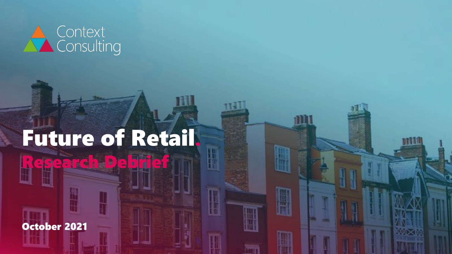

# Future of Retail. esearch Debrief

m

October 2021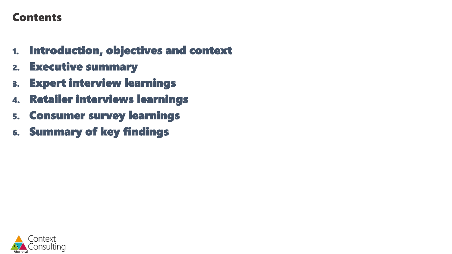### Contents

- 1. Introduction, objectives and context
- 2. Executive summary
- 3. Expert interview learnings
- 4. Retailer interviews learnings
- 5. Consumer survey learnings
- 6. Summary of key findings

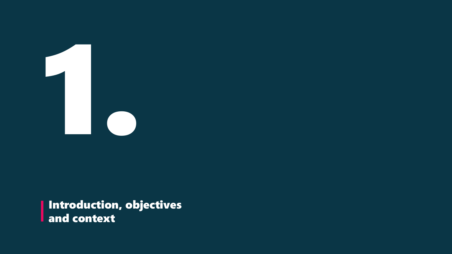

Introduction, objectives and context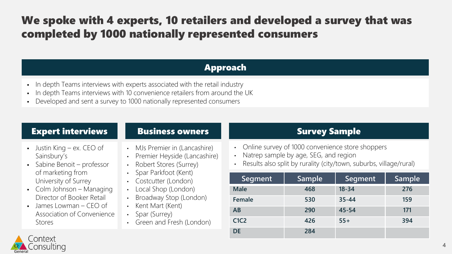### We spoke with 4 experts, 10 retailers and developed a survey that was completed by 1000 nationally represented consumers

### Approach

- In depth Teams interviews with experts associated with the retail industry
- In depth Teams interviews with 10 convenience retailers from around the UK
- Developed and sent a survey to 1000 nationally represented consumers

### Expert interviews **Survey Sample** Business owners **Survey Sample**

- $\bullet$  Justin King ex. CEO of Sainsbury's
- Sabine Benoit professor of marketing from University of Surrey
- Colm Johnson Managing Director of Booker Retail
- $\blacksquare$  James Lowman CEO of Association of Convenience Stores

### Business owners

- MJs Premier in (Lancashire)
- Premier Heyside (Lancashire)
- Robert Stores (Surrey)
- Spar Parkfoot (Kent)
- Costcutter (London)
- Local Shop (London)
- Broadway Stop (London)
- Kent Mart (Kent)
- Spar (Surrey)
- Green and Fresh (London)

- Online survey of 1000 convenience store shoppers
- Natrep sample by age, SEG, and region
- Results also split by rurality (city/town, suburbs, village/rural)

| Segment                       | Sample | Segment   | Sample |  |  |
|-------------------------------|--------|-----------|--------|--|--|
| <b>Male</b>                   | 468    | $18 - 34$ | 276    |  |  |
| Female                        | 530    | $35 - 44$ | 159    |  |  |
| AB                            | 290    | 45-54     | 171    |  |  |
| C <sub>1</sub> C <sub>2</sub> | 426    | $55+$     | 394    |  |  |
| <b>DE</b>                     | 284    |           |        |  |  |

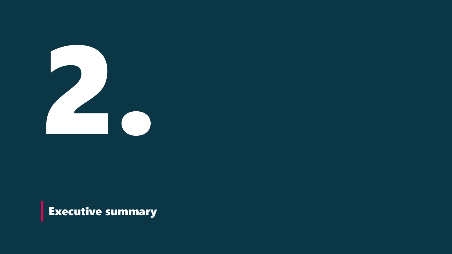

**Executive summary**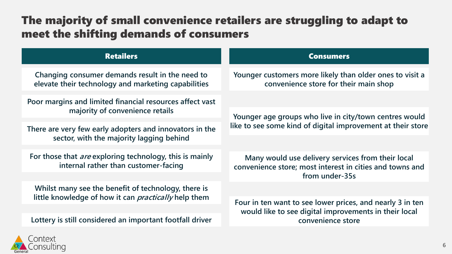### The majority of small convenience retailers are struggling to adapt to meet the shifting demands of consumers

| <b>Retailers</b>                                                                                                   | <b>Consumers</b>                                                                                                                |  |  |
|--------------------------------------------------------------------------------------------------------------------|---------------------------------------------------------------------------------------------------------------------------------|--|--|
| Changing consumer demands result in the need to<br>elevate their technology and marketing capabilities             | Younger customers more likely than older ones to visit a<br>convenience store for their main shop                               |  |  |
| Poor margins and limited financial resources affect vast<br>majority of convenience retails                        | Younger age groups who live in city/town centres would                                                                          |  |  |
| There are very few early adopters and innovators in the<br>sector, with the majority lagging behind                | like to see some kind of digital improvement at their store                                                                     |  |  |
| For those that <i>are</i> exploring technology, this is mainly<br>internal rather than customer-facing             | Many would use delivery services from their local<br>convenience store; most interest in cities and towns and<br>from under-35s |  |  |
| Whilst many see the benefit of technology, there is<br>little knowledge of how it can <i>practically</i> help them |                                                                                                                                 |  |  |
|                                                                                                                    | Four in ten want to see lower prices, and nearly 3 in ten<br>would like to see digital improvements in their local              |  |  |
| Lottery is still considered an important footfall driver                                                           | convenience store                                                                                                               |  |  |

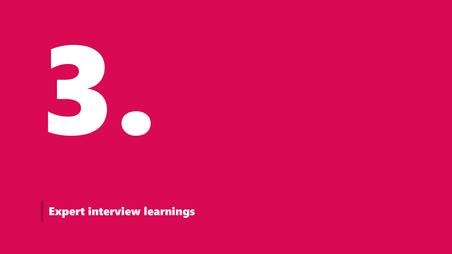

Expert interview learnings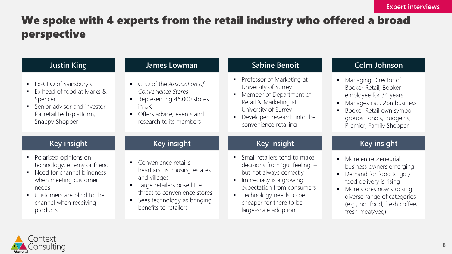### We spoke with 4 experts from the retail industry who offered a broad perspective

| <b>Justin King</b>                                                                                                                                                                         | James Lowman                                                                                                                                                                                  | <b>Sabine Benoit</b>                                                                                                                                                                                                                                     | <b>Colm Johnson</b>                                                                                                                                                                                                           |  |  |
|--------------------------------------------------------------------------------------------------------------------------------------------------------------------------------------------|-----------------------------------------------------------------------------------------------------------------------------------------------------------------------------------------------|----------------------------------------------------------------------------------------------------------------------------------------------------------------------------------------------------------------------------------------------------------|-------------------------------------------------------------------------------------------------------------------------------------------------------------------------------------------------------------------------------|--|--|
| Ex-CEO of Sainsbury's<br>Ex head of food at Marks &<br>Spencer<br>• Senior advisor and investor<br>for retail tech-platform,<br>Snappy Shopper                                             | • CEO of the Association of<br>Convenience Stores<br>Representing 46,000 stores<br>in UK<br>Offers advice, events and<br>research to its members                                              | Professor of Marketing at<br>$\blacksquare$<br>University of Surrey<br>Member of Department of<br>Retail & Marketing at<br>University of Surrey<br>Developed research into the<br>convenience retailing                                                  | Managing Director of<br>Booker Retail; Booker<br>employee for 34 years<br>Manages ca. £2bn business<br>Booker Retail own symbol<br>groups Londis, Budgen's,<br>Premier, Family Shopper                                        |  |  |
| Key insight                                                                                                                                                                                | Key insight                                                                                                                                                                                   | Key insight                                                                                                                                                                                                                                              | <b>Key insight</b>                                                                                                                                                                                                            |  |  |
| Polarised opinions on<br>technology: enemy or friend<br>Need for channel blindness<br>when meeting customer<br>needs<br>• Customers are blind to the<br>channel when receiving<br>products | • Convenience retail's<br>heartland is housing estates<br>and villages<br>Large retailers pose little<br>threat to convenience stores<br>Sees technology as bringing<br>benefits to retailers | • Small retailers tend to make<br>decisions from 'gut feeling' -<br>but not always correctly<br>Immediacy is a growing<br>٠<br>expectation from consumers<br>Technology needs to be<br>$\blacksquare$<br>cheaper for there to be<br>large-scale adoption | • More entrepreneurial<br>business owners emerging<br>Demand for food to go /<br>food delivery is rising<br>More stores now stocking<br>٠<br>diverse range of categories<br>(e.g., hot food, fresh coffee,<br>fresh meat/veg) |  |  |

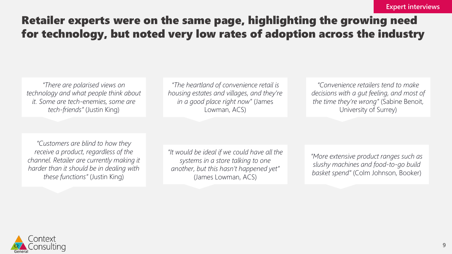### Retailer experts were on the same page, highlighting the growing need for technology, but noted very low rates of adoption across the industry

*"There are polarised views on technology and what people think about it. Some are tech-enemies, some are tech-friends"* (Justin King)

*"The heartland of convenience retail is housing estates and villages, and they're in a good place right now"* (James Lowman, ACS)

*"Convenience retailers tend to make decisions with a gut feeling, and most of the time they're wrong"* (Sabine Benoit, University of Surrey)

*"Customers are blind to how they receive a product, regardless of the channel. Retailer are currently making it harder than it should be in dealing with these functions"* (Justin King)

*"It would be ideal if we could have all the systems in a store talking to one another, but this hasn't happened yet"*  (James Lowman, ACS)

*"More extensive product ranges such as slushy machines and food-to-go build basket spend"* (Colm Johnson, Booker)

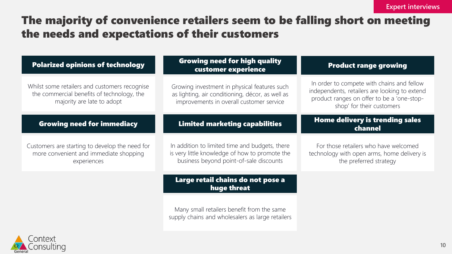### The majority of convenience retailers seem to be falling short on meeting the needs and expectations of their customers

| <b>Polarized opinions of technology</b>                                                                                   | <b>Growing need for high quality</b><br>customer experience                                                                                  | <b>Product range growing</b>                                                                                                                                           |
|---------------------------------------------------------------------------------------------------------------------------|----------------------------------------------------------------------------------------------------------------------------------------------|------------------------------------------------------------------------------------------------------------------------------------------------------------------------|
| Whilst some retailers and customers recognise<br>the commercial benefits of technology, the<br>majority are late to adopt | Growing investment in physical features such<br>as lighting, air conditioning, décor, as well as<br>improvements in overall customer service | In order to compete with chains and fellow<br>independents, retailers are looking to extend<br>product ranges on offer to be a 'one-stop-<br>shop' for their customers |
| <b>Growing need for immediacy</b>                                                                                         | <b>Limited marketing capabilities</b>                                                                                                        | Home delivery is trending sales<br>channel                                                                                                                             |
| Customers are starting to develop the need for<br>more convenient and immediate shopping<br>experiences                   | In addition to limited time and budgets, there<br>is very little knowledge of how to promote the<br>business beyond point-of-sale discounts  | For those retailers who have welcomed<br>technology with open arms, home delivery is<br>the preferred strategy                                                         |
|                                                                                                                           | Large retail chains do not pose a<br>huge threat                                                                                             |                                                                                                                                                                        |
|                                                                                                                           | Many small retailers benefit from the same<br>supply chains and wholesalers as large retailers                                               |                                                                                                                                                                        |

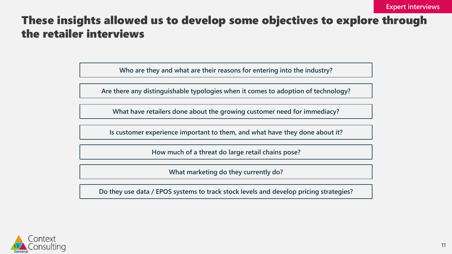### These insights allowed us to develop some objectives to explore through the retailer interviews

**Who are they and what are their reasons for entering into the industry?**

**Are there any distinguishable typologies when it comes to adoption of technology?**

**What have retailers done about the growing customer need for immediacy?**

**Is customer experience important to them, and what have they done about it?** 

**How much of a threat do large retail chains pose?** 

**What marketing do they currently do?** 

**Do they use data / EPOS systems to track stock levels and develop pricing strategies?** 

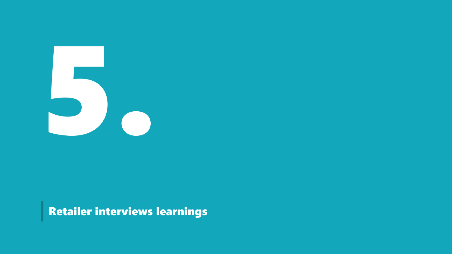

Retailer interviews learnings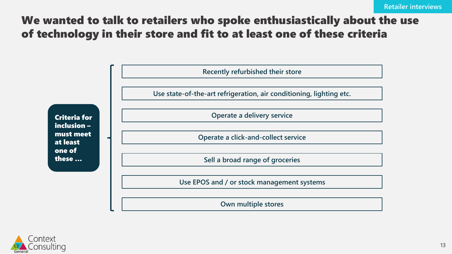### We wanted to talk to retailers who spoke enthusiastically about the use of technology in their store and fit to at least one of these criteria



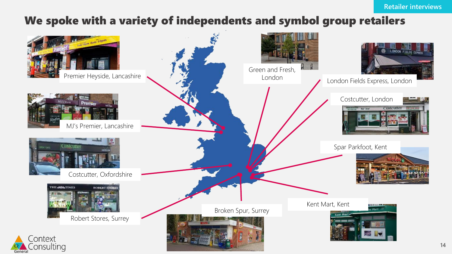### We spoke with a variety of independents and symbol group retailers

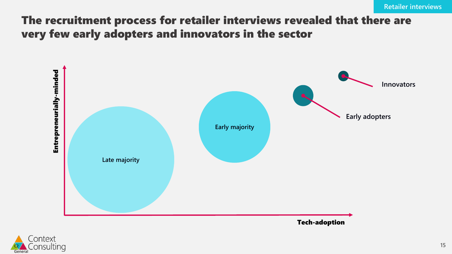### The recruitment process for retailer interviews revealed that there are very few early adopters and innovators in the sector



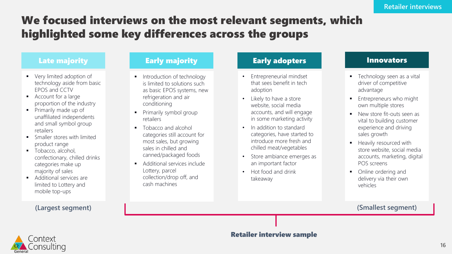### We focused interviews on the most relevant segments, which highlighted some key differences across the groups

- Very limited adoption of technology aside from basic EPOS and CCTV
- Account for a large proportion of the industry
- Primarily made up of unaffiliated independents and small symbol group retailers
- **•** Smaller stores with limited product range
- Tobacco, alcohol, confectionary, chilled drinks categories make up majority of sales
- Additional services are limited to Lottery and mobile top-ups

- **·** Introduction of technology is limited to solutions such as basic EPOS systems, new refrigeration and air conditioning
- **•** Primarily symbol group retailers
- Tobacco and alcohol categories still account for most sales, but growing sales in chilled and canned/packaged foods
- Additional services include Lottery, parcel collection/drop off, and cash machines

#### Late majority Early majority Early adopters Innovators

- Entrepreneurial mindset that sees benefit in tech adoption
- Likely to have a store website, social media accounts, and will engage in some marketing activity
- In addition to standard categories, have started to introduce more fresh and chilled meat/vegetables
- Store ambiance emerges as an important factor
- Hot food and drink takeaway

- Technology seen as a vital driver of competitive advantage
- **Entrepreneurs who might** own multiple stores
- New store fit-outs seen as vital to building customer experience and driving sales growth
- Heavily resourced with store website, social media accounts, marketing, digital POS screens
- Online ordering and delivery via their own vehicles

#### **(Largest segment) (Smallest segment)**



#### Retailer interview sample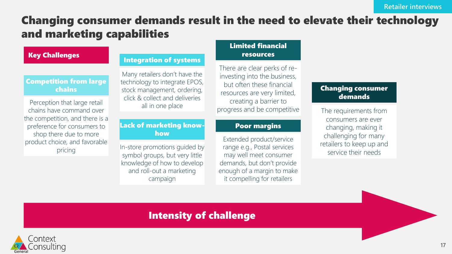### Changing consumer demands result in the need to elevate their technology and marketing capabilities

#### Key Challenges

#### Competition from large chains

Perception that large retail chains have command over the competition, and there is a preference for consumers to shop there due to more product choice, and favorable pricing

#### Integration of systems

Many retailers don't have the technology to integrate EPOS, stock management, ordering, click & collect and deliveries all in one place

#### Lack of marketing knowhow

In-store promotions guided by symbol groups, but very little knowledge of how to develop and roll-out a marketing campaign

#### Limited financial resources

There are clear perks of reinvesting into the business, but often these financial resources are very limited, creating a barrier to progress and be competitive

#### Poor margins

Extended product/service range e.g., Postal services may well meet consumer demands, but don't provide enough of a margin to make it compelling for retailers

#### Changing consumer demands

The requirements from consumers are ever changing, making it challenging for many retailers to keep up and service their needs

### Intensity of challenge

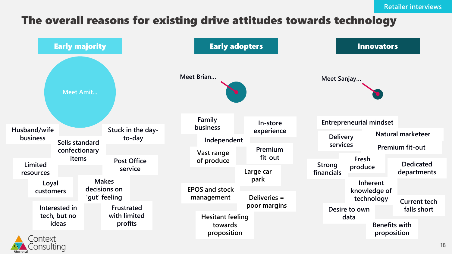### The overall reasons for existing drive attitudes towards technology

|                          | <b>Early majority</b>           |                               |                               | <b>Early adopters</b>                             |                      |                             |                  | <b>Innovators</b>                   |                                 |                                    |
|--------------------------|---------------------------------|-------------------------------|-------------------------------|---------------------------------------------------|----------------------|-----------------------------|------------------|-------------------------------------|---------------------------------|------------------------------------|
|                          | <b>Meet Amit</b>                |                               |                               | Meet Brian                                        |                      | Meet Sanjay                 |                  |                                     |                                 |                                    |
|                          |                                 |                               |                               | Family<br><b>business</b>                         | In-store             |                             |                  | <b>Entrepreneurial mindset</b>      |                                 |                                    |
| Husband/wife<br>business |                                 |                               | Stuck in the day-<br>to-day   | Independent                                       | experience           | <b>Delivery</b>             |                  |                                     | Natural marketeer               |                                    |
|                          | Sells standard<br>confectionary |                               |                               | Vast range                                        | <b>Premium</b>       | services                    |                  |                                     | Premium fit-out                 |                                    |
| Limited<br>resources     | items                           |                               | <b>Post Office</b><br>service | of produce                                        | fit-out<br>Large car | <b>Strong</b><br>financials | Fresh<br>produce |                                     | <b>Dedicated</b><br>departments |                                    |
| Loyal                    |                                 | <b>Makes</b>                  |                               |                                                   | park                 |                             |                  | Inherent                            |                                 |                                    |
| customers                |                                 | decisions on<br>'gut' feeling |                               | <b>EPOS and stock</b><br>management               | Deliveries =         |                             |                  | knowledge of                        |                                 |                                    |
|                          | Interested in<br>tech, but no   | Frustrated<br>with limited    |                               |                                                   | poor margins         |                             | Desire to own    | technology                          |                                 | <b>Current tech</b><br>falls short |
| $\triangle$ Contaut      | ideas                           | profits                       |                               | <b>Hesitant feeling</b><br>towards<br>proposition |                      |                             | data             | <b>Benefits with</b><br>proposition |                                 |                                    |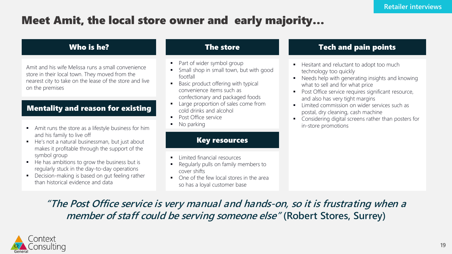### Meet Amit, the local store owner and early majority…

#### Who is he?

Amit and his wife Melissa runs a small convenience store in their local town. They moved from the nearest city to take on the lease of the store and live on the premises

#### Mentality and reason for existing

- Amit runs the store as a lifestyle business for him and his family to live off
- He's not a natural businessman, but just about makes it profitable through the support of the symbol group
- He has ambitions to grow the business but is regularly stuck in the day-to-day operations
- Decision-making is based on gut feeling rather than historical evidence and data

#### The store

- Part of wider symbol group
- Small shop in small town, but with good footfall
- Basic product offering with typical convenience items such as confectionary and packaged foods
- Large proportion of sales come from cold drinks and alcohol
- Post Office service
- No parking

#### Key resources

- **·** Limited financial resources
- Regularly pulls on family members to cover shifts
- One of the few local stores in the area so has a loyal customer base

#### Tech and pain points

- Hesitant and reluctant to adopt too much technology too quickly
- Needs help with generating insights and knowing what to sell and for what price
- Post Office service requires significant resource, and also has very tight margins
- **•** Limited commission on wider services such as postal, dry cleaning, cash machine
- Considering digital screens rather than posters for in-store promotions

### **"The Post Office service is very manual and hands-on, so it is frustrating when a member of staff could be serving someone else" (Robert Stores, Surrey)**

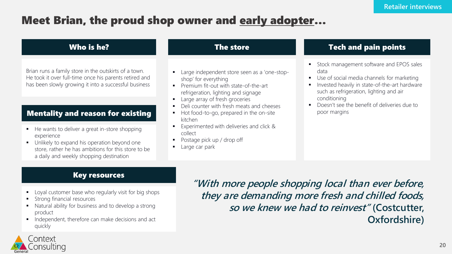### Meet Brian, the proud shop owner and early adopter…

#### Who is he?

Brian runs a family store in the outskirts of a town. He took it over full-time once his parents retired and has been slowly growing it into a successful business

#### Mentality and reason for existing

- He wants to deliver a great in-store shopping experience
- Unlikely to expand his operation beyond one store, rather he has ambitions for this store to be a daily and weekly shopping destination

#### The store

- Large independent store seen as a 'one-stopshop' for everything
- Premium fit-out with state-of-the-art refrigeration, lighting and signage
- Large array of fresh groceries
- Deli counter with fresh meats and cheeses
- Hot food-to-go, prepared in the on-site kitchen
- Experimented with deliveries and click & collect
- Postage pick up / drop off
- Large car park

#### **Tech and pain points**

- **■** Stock management software and EPOS sales data
- Use of social media channels for marketing
- Invested heavily in state-of-the-art hardware such as refrigeration, lighting and air conditioning
- Doesn't see the benefit of deliveries due to poor margins

#### Key resources

- Loyal customer base who regularly visit for big shops
- Strong financial resources
- Natural ability for business and to develop a strong product
- **■** Independent, therefore can make decisions and act quickly

**"With more people shopping local than ever before, they are demanding more fresh and chilled foods, so we knew we had to reinvest" (Costcutter, Oxfordshire)**

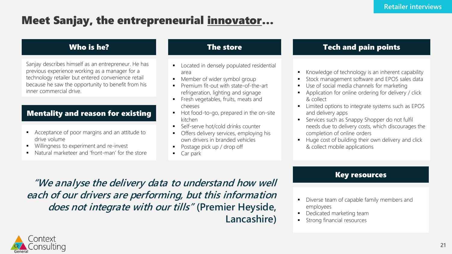### Meet Sanjay, the entrepreneurial innovator…

#### Who is he?

Sanjay describes himself as an entrepreneur. He has previous experience working as a manager for a technology retailer but entered convenience retail because he saw the opportunity to benefit from his inner commercial drive.

#### Mentality and reason for existing

- Acceptance of poor margins and an attitude to drive volume
- Willingness to experiment and re-invest
- Natural marketeer and 'front-man' for the store

#### The store

- Located in densely populated residential area
- Member of wider symbol group
- Premium fit-out with state-of-the-art refrigeration, lighting and signage
- **•** Fresh vegetables, fruits, meats and cheeses
- Hot food-to-go, prepared in the on-site kitchen
- Self-serve hot/cold drinks counter
- Offers delivery services, employing his own drivers in branded vehicles
- Postage pick up / drop off
- Car park

#### Tech and pain points

- Knowledge of technology is an inherent capability
- Stock management software and EPOS sales data
- Use of social media channels for marketing
- Application for online ordering for delivery / click & collect
- Limited options to integrate systems such as EPOS and delivery apps
- Services such as Snappy Shopper do not fulfil needs due to delivery costs, which discourages the completion of online orders
- Huge cost of building their own delivery and click & collect mobile applications

#### Key resources

**"We analyse the delivery data to understand how well each of our drivers are performing, but this information does not integrate with our tills" (Premier Heyside, Lancashire)**

- Diverse team of capable family members and employees
- **Dedicated marketing team**
- Strong financial resources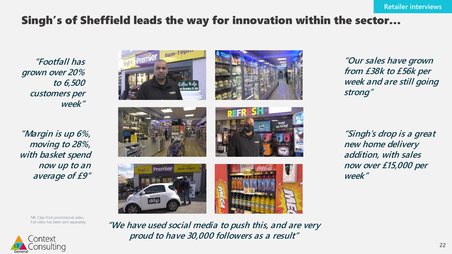### Singh's of Sheffield leads the way for innovation within the sector…

**"Footfall has grown over 20% to 6,500 customers per week"**

**"Margin is up 6%, moving to 28%, with basket spend now up to an average of £9"**

NB. Clips from promotional video. Full video has been sent separately.





**"Our sales have grown from £38k to £56k per week and are still going strong"**

**"Singh's drop is a great new home delivery addition, with sales now over £15,000 per week"**



6am-10pm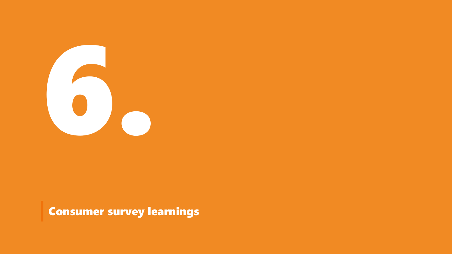

Consumer survey learnings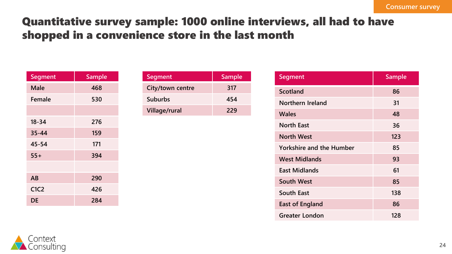### Quantitative survey sample: 1000 online interviews, all had to have shopped in a convenience store in the last month

| <b>Segment</b>                | <b>Sample</b> |
|-------------------------------|---------------|
| Male                          | 468           |
| Female                        | 530           |
|                               |               |
| $18 - 34$                     | 276           |
| $35 - 44$                     | 159           |
| 45-54                         | 171           |
| $55+$                         | 394           |
|                               |               |
| AB                            | 290           |
| C <sub>1</sub> C <sub>2</sub> | 426           |
| DE                            | 284           |

| Segment          | Sample |
|------------------|--------|
| City/town centre | 317    |
| <b>Suburbs</b>   | 454    |
| Village/rural    | 229    |

| <b>Segment</b>                  | <b>Sample</b> |
|---------------------------------|---------------|
| <b>Scotland</b>                 | 86            |
| Northern Ireland                | 31            |
| <b>Wales</b>                    | 48            |
| <b>North East</b>               | 36            |
| <b>North West</b>               | 123           |
| <b>Yorkshire and the Humber</b> | 85            |
| <b>West Midlands</b>            | 93            |
| <b>East Midlands</b>            | 61            |
| <b>South West</b>               | 85            |
| <b>South East</b>               | 138           |
| <b>East of England</b>          | 86            |
| Greater London                  | 128           |

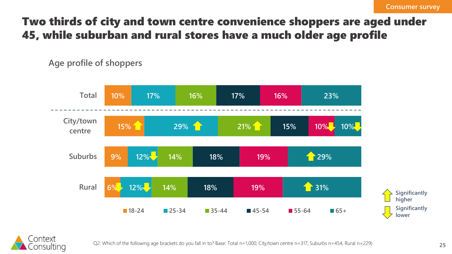### Two thirds of city and town centre convenience shoppers are aged under 45, while suburban and rural stores have a much older age profile

**Age profile of shoppers**



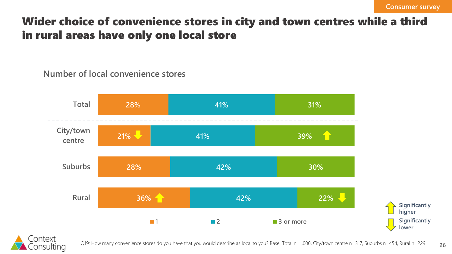### Wider choice of convenience stores in city and town centres while a third in rural areas have only one local store

### **Number of local convenience stores**



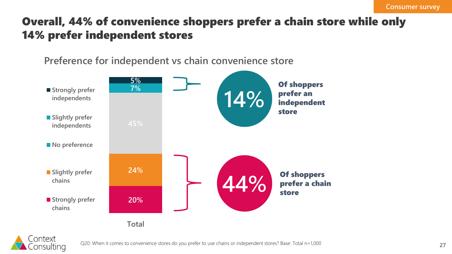### Overall, 44% of convenience shoppers prefer a chain store while only 14% prefer independent stores

**Preference for independent vs chain convenience store**





Q20: When it comes to convenience stores do you prefer to use chains or independent stores? Base: Total n=1,000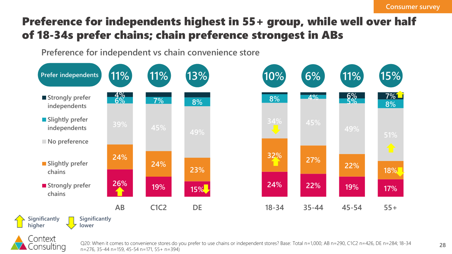### Preference for independents highest in 55+ group, while well over half of 18-34s prefer chains; chain preference strongest in ABs

**Preference for independent vs chain convenience store**





**28**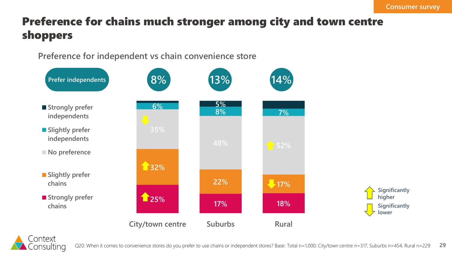## Preference for chains much stronger among city and town centre shoppers

**Preference for independent vs chain convenience store**



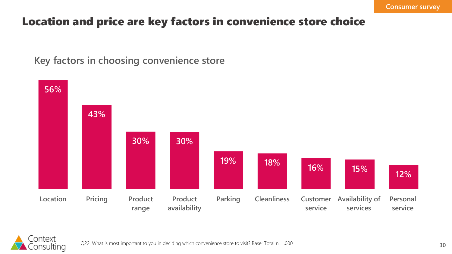### Location and price are key factors in convenience store choice

**Key factors in choosing convenience store**



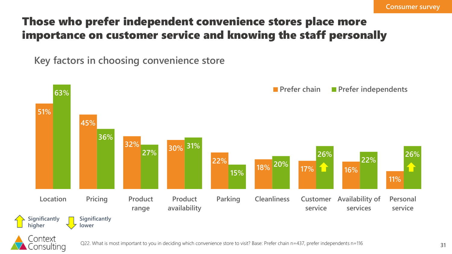## Those who prefer independent convenience stores place more importance on customer service and knowing the staff personally

**Key factors in choosing convenience store**

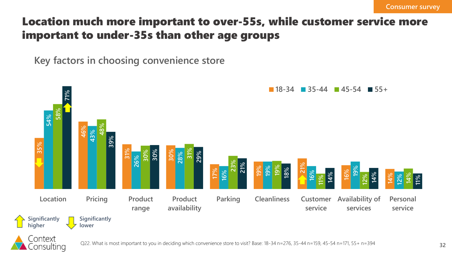### Location much more important to over-55s, while customer service more important to under-35s than other age groups

**Key factors in choosing convenience store**

Consulting

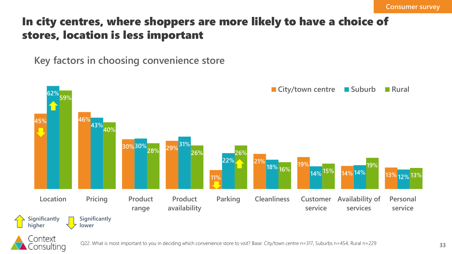### In city centres, where shoppers are more likely to have a choice of stores, location is less important

**Key factors in choosing convenience store**



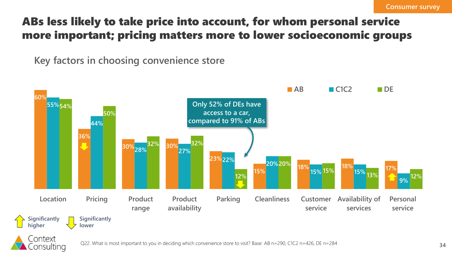## ABs less likely to take price into account, for whom personal service more important; pricing matters more to lower socioeconomic groups

**Key factors in choosing convenience store**

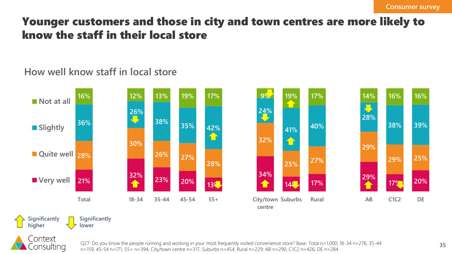### Younger customers and those in city and town centres are more likely to know the staff in their local store

### **How well know staff in local store**





Q27: Do you know the people running and working in your most frequently visited convenience store? Base: Total n=1,000; 18-34 n=276, 35-44 n=159, 45-54 n=171, 55+ n=394; City/town centre n=317, Suburbs n=454, Rural n=229; AB n=290, C1C2 n=426, DE n=284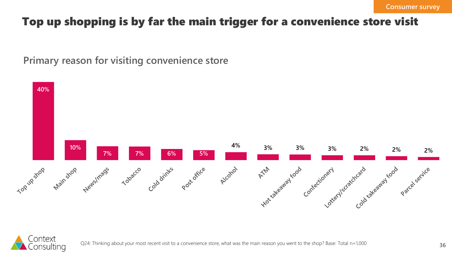### Top up shopping is by far the main trigger for a convenience store visit

**Primary reason for visiting convenience store**



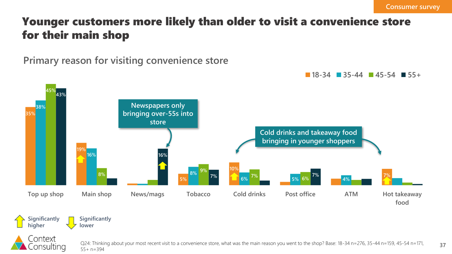### Younger customers more likely than older to visit a convenience store for their main shop

**Primary reason for visiting convenience store**





Q24: Thinking about your most recent visit to a convenience store, what was the main reason you went to the shop? Base: 18-34 n=276, 35-44 n=159, 45-54 n=171, 55+ n=394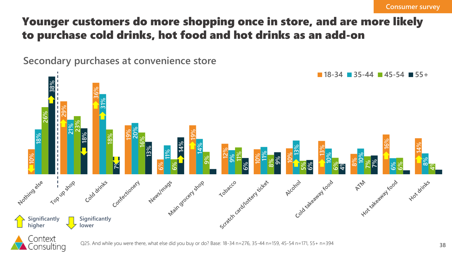### Younger customers do more shopping once in store, and are more likely to purchase cold drinks, hot food and hot drinks as an add-on

**Secondary purchases at convenience store**





Q25. And while you were there, what else did you buy or do? Base: 18-34 n=276, 35-44 n=159, 45-54 n=171, 55+ n=394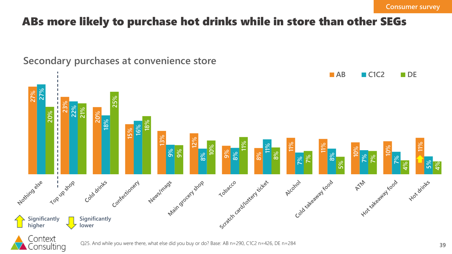### ABs more likely to purchase hot drinks while in store than other SEGs



### **Secondary purchases at convenience store**



Consulting

Q25. And while you were there, what else did you buy or do? Base: AB n=290, C1C2 n=426, DE n=284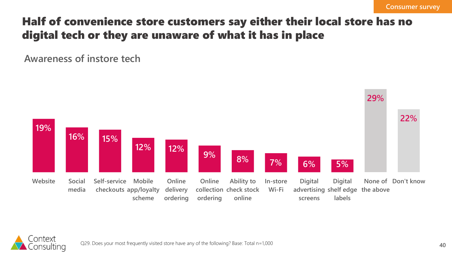### Half of convenience store customers say either their local store has no digital tech or they are unaware of what it has in place

**Awareness of instore tech**



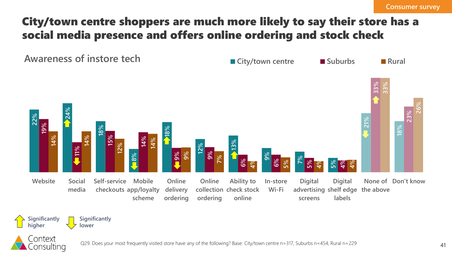## City/town centre shoppers are much more likely to say their store has a social media presence and offers online ordering and stock check





Context Consulting

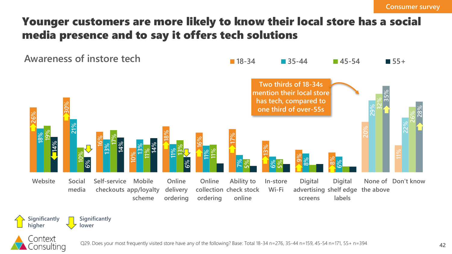### Younger customers are more likely to know their local store has a social media presence and to say it offers tech solutions





**Significantly** 

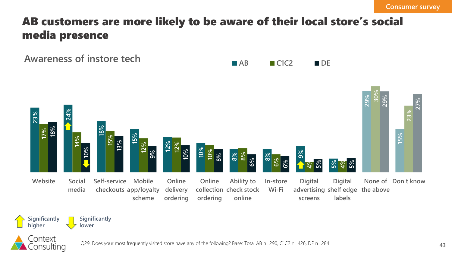### AB customers are more likely to be aware of their local store's social media presence

**Awareness of instore tech AB C1C2 DE** 





Context

**Significantly lower**

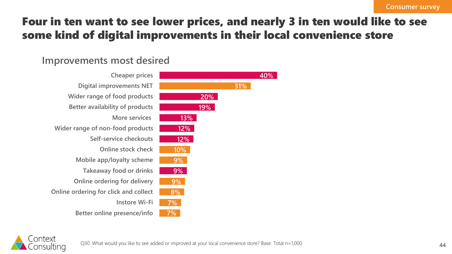### Four in ten want to see lower prices, and nearly 3 in ten would like to see some kind of digital improvements in their local convenience store

### **Improvements most desired**



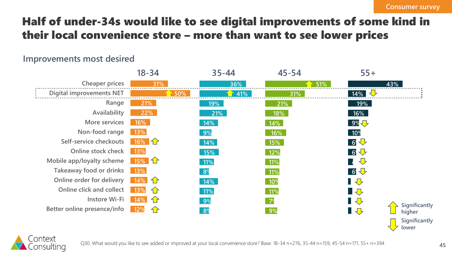## Half of under-34s would like to see digital improvements of some kind in their local convenience store – more than want to see lower prices

#### **Improvements most desired**

|                                 | $18 - 34$                 | $35 - 44$      | $45 - 54$      | $55+$                         |
|---------------------------------|---------------------------|----------------|----------------|-------------------------------|
| Cheaper prices                  | 31%                       | 36%            | 51%            | 43%                           |
| <b>Digital improvements NET</b> | 50%                       | 41%            | 31%            | $14\%$                        |
| Range                           | 21%                       | 19%            | 21%            | 19%                           |
| Availability                    | 22%                       | 21%            | 18%            | 16%                           |
| More services                   | 16%                       | 14%            | 14%            | 9%                            |
| Non-food range                  | 13%                       | 9%             | 16%            | 10 <sup>9</sup>               |
| Self-service checkouts          | $16\%$ 1                  | 14%            | 15%            | 6 步                           |
| Online stock check              | 13%                       | 15%            | 12%            | 6+                            |
| Mobile app/loyalty scheme       | $15\%$ $\hat{1}$          | 11%            | 11%            | $\bigoplus$                   |
| Takeaway food or drinks         | 13%                       | 8 <sup>9</sup> | 11%            | 6+                            |
| Online order for delivery       | $14\%$ <del>1</del>       | 14%            | 10%            | ▌⇩                            |
| Online click and collect        | 13%<br>$\left\{ \right\}$ | 11%            | 11%            | ▋ <del></del>                 |
| <b>Instore Wi-Fi</b>            | 14%<br>$\bigoplus$        | 9%             | 7 <sup>o</sup> | ▌᠊ᢒ                           |
| Better online presence/info     | 12%<br>$\bigcap$          | 8 <sup>9</sup> | 9%             | Significantly<br>▋⇩<br>higher |
|                                 |                           |                |                | Significantly                 |



**lower**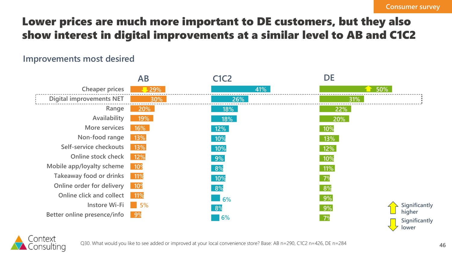## Lower prices are much more important to DE customers, but they also show interest in digital improvements at a similar level to AB and C1C2

#### **Improvements most desired**





Q30. What would you like to see added or improved at your local convenience store? Base: AB n=290, C1C2 n=426, DE n=284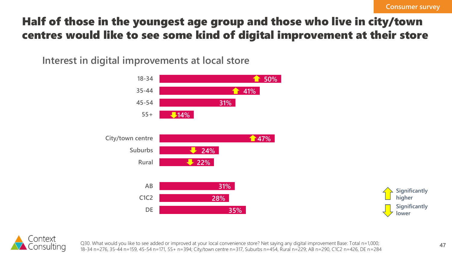### Half of those in the youngest age group and those who live in city/town centres would like to see some kind of digital improvement at their store

**Interest in digital improvements at local store**







Q30. What would you like to see added or improved at your local convenience store? Net saying any digital improvement Base: Total n=1,000; 18-34 n=276, 35-44 n=159, 45-54 n=171, 55+ n=394; City/town centre n=317, Suburbs n=454, Rural n=229; AB n=290, C1C2 n=426, DE n=284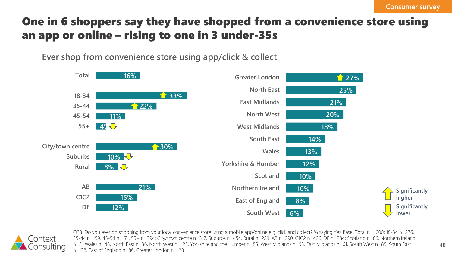## One in 6 shoppers say they have shopped from a convenience store using an app or online – rising to one in 3 under-35s

**Ever shop from convenience store using app/click & collect**





Q33: Do you ever do shopping from your local convenience store using a mobile app/online e.g. click and collect? % saying Yes Base: Total n=1,000; 18-34 n=276, 35-44 n=159, 45-54 n=171, 55+ n=394; City/town centre n=317, Suburbs n=454, Rural n=229; AB n=290, C1C2 n=426, DE n=284; Scotland n=86, Northern Ireland n=31,Wales n=48, North East n=36, North West n=123, Yorkshire and the Humber n=85, West Midlands n=93, East Midlands n=61, South West n=85, South East n=138, East of England n=86, Greater London n=128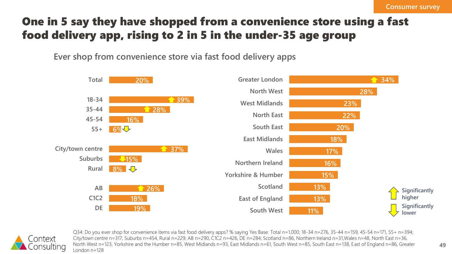## One in 5 say they have shopped from a convenience store using a fast food delivery app, rising to 2 in 5 in the under-35 age group

**Ever shop from convenience store via fast food delivery apps**





Q34: Do you ever shop for convenience items via fast food delivery apps? % saying Yes Base: Total n=1,000; 18-34 n=276, 35-44 n=159, 45-54 n=171, 55+ n=394; City/town centre n=317, Suburbs n=454, Rural n=229; AB n=290, C1C2 n=426, DE n=284; Scotland n=86, Northern Ireland n=31,Wales n=48, North East n=36, North West n=123, Yorkshire and the Humber n=85, West Midlands n=93, East Midlands n=61, South West n=85, South East n=138, East of England n=86, Greater London n=128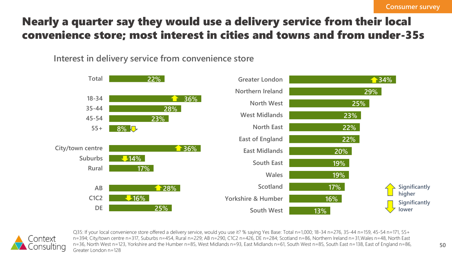### Nearly a quarter say they would use a delivery service from their local convenience store; most interest in cities and towns and from under-35s

**Interest in delivery service from convenience store**





Q35: If your local convenience store offered a delivery service, would you use it? % saying Yes Base: Total n=1,000; 18-34 n=276, 35-44 n=159, 45-54 n=171, 55+ n=394; City/town centre n=317, Suburbs n=454, Rural n=229; AB n=290, C1C2 n=426, DE n=284; Scotland n=86, Northern Ireland n=31,Wales n=48, North East n=36, North West n=123, Yorkshire and the Humber n=85, West Midlands n=93, East Midlands n=61, South West n=85, South East n=138, East of England n=86, Greater London n=128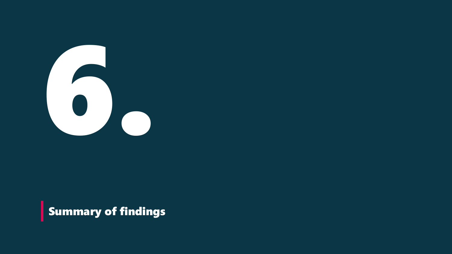

**Summary of findings**